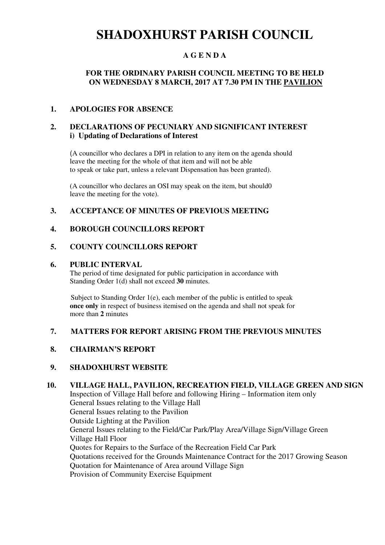# **SHADOXHURST PARISH COUNCIL**

# **A G E N D A**

# **FOR THE ORDINARY PARISH COUNCIL MEETING TO BE HELD ON WEDNESDAY 8 MARCH, 2017 AT 7.30 PM IN THE PAVILION**

### **1. APOLOGIES FOR ABSENCE**

## **2. DECLARATIONS OF PECUNIARY AND SIGNIFICANT INTEREST i) Updating of Declarations of Interest**

(A councillor who declares a DPI in relation to any item on the agenda should leave the meeting for the whole of that item and will not be able to speak or take part, unless a relevant Dispensation has been granted).

(A councillor who declares an OSI may speak on the item, but should0 leave the meeting for the vote).

# **3. ACCEPTANCE OF MINUTES OF PREVIOUS MEETING**

### **4. BOROUGH COUNCILLORS REPORT**

### **5. COUNTY COUNCILLORS REPORT**

#### **6. PUBLIC INTERVAL**

The period of time designated for public participation in accordance with Standing Order 1(d) shall not exceed **30** minutes.

Subject to Standing Order 1(e), each member of the public is entitled to speak **once only** in respect of business itemised on the agenda and shall not speak for more than **2** minutes

### **7. MATTERS FOR REPORT ARISING FROM THE PREVIOUS MINUTES**

### **8. CHAIRMAN'S REPORT**

### **9. SHADOXHURST WEBSITE**

# **10. VILLAGE HALL, PAVILION, RECREATION FIELD, VILLAGE GREEN AND SIGN**

Inspection of Village Hall before and following Hiring – Information item only General Issues relating to the Village Hall General Issues relating to the Pavilion Outside Lighting at the Pavilion General Issues relating to the Field/Car Park/Play Area/Village Sign/Village Green Village Hall Floor Quotes for Repairs to the Surface of the Recreation Field Car Park Quotations received for the Grounds Maintenance Contract for the 2017 Growing Season Quotation for Maintenance of Area around Village Sign Provision of Community Exercise Equipment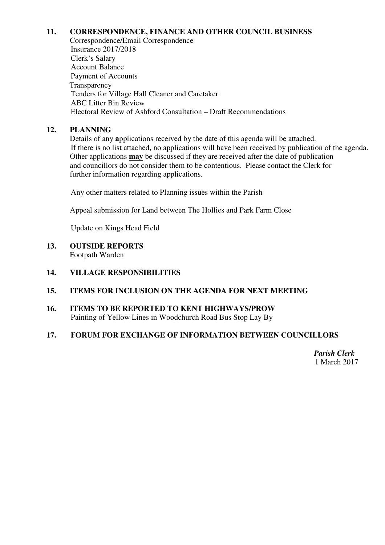# **11. CORRESPONDENCE, FINANCE AND OTHER COUNCIL BUSINESS**

Correspondence/Email Correspondence Insurance 2017/2018 Clerk's Salary Account Balance Payment of Accounts **Transparency**  Tenders for Village Hall Cleaner and Caretaker ABC Litter Bin Review Electoral Review of Ashford Consultation – Draft Recommendations

## **12. PLANNING**

Details of any **a**pplications received by the date of this agenda will be attached. If there is no list attached, no applications will have been received by publication of the agenda. Other applications **may** be discussed if they are received after the date of publication and councillors do not consider them to be contentious. Please contact the Clerk for further information regarding applications.

Any other matters related to Planning issues within the Parish

Appeal submission for Land between The Hollies and Park Farm Close

Update on Kings Head Field

## **13. OUTSIDE REPORTS**

Footpath Warden

# **14. VILLAGE RESPONSIBILITIES**

### **15. ITEMS FOR INCLUSION ON THE AGENDA FOR NEXT MEETING**

**16. ITEMS TO BE REPORTED TO KENT HIGHWAYS/PROW**  Painting of Yellow Lines in Woodchurch Road Bus Stop Lay By

# **17. FORUM FOR EXCHANGE OF INFORMATION BETWEEN COUNCILLORS**

*Parish Clerk*  1 March 2017